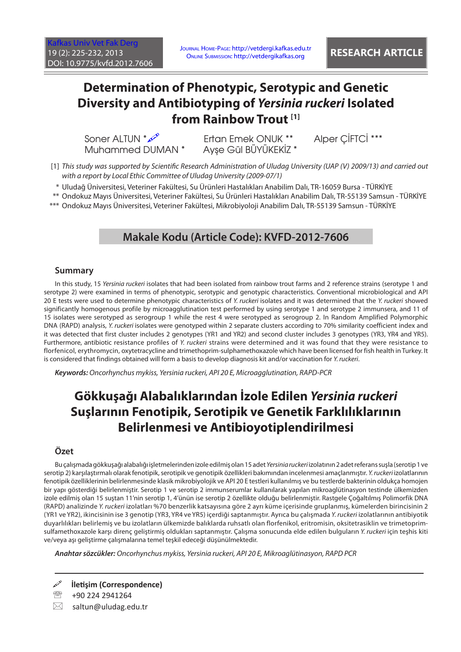Journal Home-Page: http://vetdergi.kafkas.edu.tr Online Submission: http://vetdergikafkas.org **RESEARCH ARTICLE**

# **Determination of Phenotypic, Serotypic and Genetic Diversity and Antibiotyping of** *Yersinia ruckeri* **Isolated from Rainbow Trout [1]**

Muhammed DUMAN \*

Soner ALTUN \*  $\infty$ <sup>2</sup><br>Muhammed DUMAN \* Avse Gül BÜYÜKEKİZ \* Alper ÇİFTCİ \*\*\*

[1] *This study was supported by Scientific Research Administration of Uludag University (UAP (V) 2009/13) and carried out with a report by Local Ethic Committee of Uludag University (2009-07/1)*

\* Uludağ Üniversitesi, Veteriner Fakültesi, Su Ürünleri Hastalıkları Anabilim Dalı, TR-16059 Bursa - TÜRKİYE

\*\* Ondokuz Mayıs Üniversitesi, Veteriner Fakültesi, Su Ürünleri Hastalıkları Anabilim Dalı, TR-55139 Samsun - TÜRKİYE

\*\*\* Ondokuz Mayıs Üniversitesi, Veteriner Fakültesi, Mikrobiyoloji Anabilim Dalı, TR-55139 Samsun - TÜRKİYE

## **Makale Kodu (Article Code): KVFD-2012-7606**

### **Summary**

In this study, 15 *Yersinia ruckeri* isolates that had been isolated from rainbow trout farms and 2 reference strains (serotype 1 and serotype 2) were examined in terms of phenotypic, serotypic and genotypic characteristics. Conventional microbiological and API 20 E tests were used to determine phenotypic characteristics of *Y. ruckeri* isolates and it was determined that the *Y. ruckeri* showed significantly homogenous profile by microagglutination test performed by using serotype 1 and serotype 2 immunsera, and 11 of 15 isolates were serotyped as serogroup 1 while the rest 4 were serotyped as serogroup 2. In Random Amplified Polymorphic DNA (RAPD) analysis, *Y. ruckeri* isolates were genotyped within 2 separate clusters according to 70% similarity coefficient index and it was detected that first cluster includes 2 genotypes (YR1 and YR2) and second cluster includes 3 genotypes (YR3, YR4 and YR5). Furthermore, antibiotic resistance profiles of *Y. ruckeri* strains were determined and it was found that they were resistance to florfenicol, erythromycin, oxytetracycline and trimethoprim-sulphamethoxazole which have been licensed for fish health in Turkey. It is considered that findings obtained will form a basis to develop diagnosis kit and/or vaccination for *Y. ruckeri*.

*Keywords: Oncorhynchus mykiss, Yersinia ruckeri, API 20 E, Microagglutination, RAPD-PCR*

# **Gökkuşağı Alabalıklarından İzole Edilen** *Yersinia ruckeri* **Suşlarının Fenotipik, Serotipik ve Genetik Farklılıklarının Belirlenmesi ve Antibioyotiplendirilmesi**

### **Özet**

Bu çalışmada gökkuşağı alabalığı işletmelerinden izole edilmiş olan 15 adet *Yersinia ruckeri* izolatının 2 adet referans suşla (serotip 1 ve serotip 2) karşılaştırmalı olarak fenotipik, serotipik ve genotipik özellikleri bakımından incelenmesi amaçlanmıştır. *Y. ruckeri* izolatlarının fenotipik özelliklerinin belirlenmesinde klasik mikrobiyolojik ve API 20 E testleri kullanılmış ve bu testlerde bakterinin oldukça homojen bir yapı gösterdiği belirlenmiştir. Serotip 1 ve serotip 2 immunserumlar kullanılarak yapılan mikroaglütinasyon testinde ülkemizden izole edilmiş olan 15 suştan 11'nin serotip 1, 4'ünün ise serotip 2 özellikte olduğu belirlenmiştir. Rastgele Çoğaltılmış Polimorfik DNA (RAPD) analizinde *Y. ruckeri* izolatları %70 benzerlik katsayısına göre 2 ayrı küme içerisinde gruplanmış, kümelerden birincisinin 2 (YR1 ve YR2), ikincisinin ise 3 genotip (YR3, YR4 ve YR5) içerdiği saptanmıştır. Ayrıca bu çalışmada *Y. ruckeri* izolatlarının antibiyotik duyarlılıkları belirlemiş ve bu izolatların ülkemizde balıklarda ruhsatlı olan florfenikol, eritromisin, oksitetrasiklin ve trimetoprimsulfamethoxazole karşı direnç geliştirmiş oldukları saptanmıştır. Çalışma sonucunda elde edilen bulguların *Y. ruckeri* için teşhis kiti ve/veya aşı geliştirme çalışmalarına temel teşkil edeceği düşünülmektedir.

*Anahtar sözcükler: Oncorhynchus mykiss, Yersinia ruckeri, API 20 E, Mikroaglütinasyon, RAPD PCR*

**İletişim (Correspondence)**

<sup>● +90 224 2941264</sup> 

 $\boxtimes$  saltun@uludag.edu.tr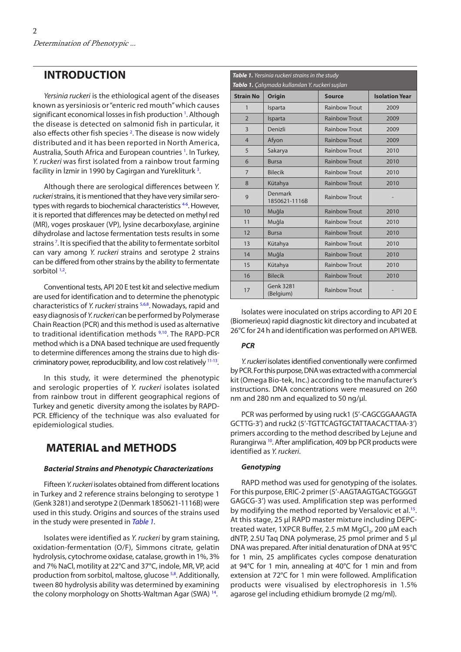### <span id="page-1-0"></span>**INTRODUCTION**

*Yersinia ruckeri* is the ethiological agent of the diseases known as yersiniosis or "enteric red mouth" which causes significant economical losses in fish production<sup>[1](#page-6-0)</sup>. Although the disease is detected on salmonid fish in particular, it also effects other fish species<sup>[2](#page-6-0)</sup>. The disease is now widely distributed and it has been reported in North America, Australia, South Africa and European countries <sup>1</sup>. In Turkey, *Y. ruckeri* was first isolated from a rainbow trout farming facility in İzmir in 1990 by Cagirgan and Yurekliturk <sup>3</sup>.

Although there are serological differences between *Y. ruckeri* strains, it is mentioned that they have very similar serotypes with regards to biochemical characteristics <sup>4-6</sup>. However, it is reported that differences may be detected on methyl red (MR), voges proskauer (VP), lysine decarboxylase, arginine dihydrolase and lactose fermentation tests results in some strains [7](#page-6-0) . It is specified that the ability to fermentate sorbitol can vary among *Y. ruckeri* strains and serotype 2 strains can be differed from other strains by the ability to fermentate sorbitol<sup>1,2</sup>.

Conventional tests, API 20 E test kit and selective medium are used for identification and to determine the phenotypic characteristics of *Y. ruckeri* strains [5,6,8.](#page-6-0) Nowadays, rapid and easy diagnosis of *Y. ruckeri* can be performed by Polymerase Chain Reaction (PCR) and this method is used as alternative to traditional identification methods <sup>9,10</sup>. The RAPD-PCR method which is a DNA based technique are used frequently to determine differences among the strains due to high discriminatory power, reproducibility, and low cost relatively [11-13.](#page-6-0) 

In this study, it were determined the phenotypic and serologic properties of *Y. ruckeri* isolates isolated from rainbow trout in different geographical regions of Turkey and genetic diversity among the isolates by RAPD-PCR. Efficiency of the technique was also evaluated for epidemiological studies.

## **MATERIAL and METHODS**

#### *Bacterial Strains and Phenotypic Characterizations*

Fifteen *Y. ruckeri* isolates obtained from different locations in Turkey and 2 reference strains belonging to serotype 1 (Genk 3281) and serotype 2 (Denmark 1850621-1116B) were used in this study. Origins and sources of the strains used in the study were presented in *Table 1.*

Isolates were identified as *Y. ruckeri* by gram staining, oxidation-fermentation (O/F), Simmons citrate, gelatin hydrolysis, cytochrome oxidase, catalase, growth in 1%, 3% and 7% NaCl, motility at 22°C and 37°C, indole, MR, VP, acid production from sorbitol, maltose, glucose <sup>5,8</sup>. Additionally, tween 80 hydrolysis ability was determined by examining the colony morphology on Shotts-Waltman Agar (SWA) [14.](#page-6-0)

| Table 1. Yersinia ruckeri strains in the study<br>Tablo 1. Çalışmada kullanılan Y. ruckeri suşları |                               |                      |                       |  |  |  |  |  |  |  |  |  |
|----------------------------------------------------------------------------------------------------|-------------------------------|----------------------|-----------------------|--|--|--|--|--|--|--|--|--|
| <b>Strain No</b>                                                                                   | <b>Origin</b>                 | <b>Source</b>        | <b>Isolation Year</b> |  |  |  |  |  |  |  |  |  |
| 1                                                                                                  | Isparta                       | <b>Rainbow Trout</b> | 2009                  |  |  |  |  |  |  |  |  |  |
| $\overline{2}$                                                                                     | Isparta                       | <b>Rainbow Trout</b> | 2009                  |  |  |  |  |  |  |  |  |  |
| 3                                                                                                  | Denizli                       | <b>Rainbow Trout</b> | 2009                  |  |  |  |  |  |  |  |  |  |
| $\overline{4}$                                                                                     | Afyon                         | <b>Rainbow Trout</b> | 2009                  |  |  |  |  |  |  |  |  |  |
| 5                                                                                                  | Sakarya                       | <b>Rainbow Trout</b> | 2010                  |  |  |  |  |  |  |  |  |  |
| 6                                                                                                  | <b>Bursa</b>                  | <b>Rainbow Trout</b> | 2010                  |  |  |  |  |  |  |  |  |  |
| $\overline{7}$                                                                                     | <b>Bilecik</b>                | <b>Rainbow Trout</b> | 2010                  |  |  |  |  |  |  |  |  |  |
| 8                                                                                                  | Kütahya                       | <b>Rainbow Trout</b> | 2010                  |  |  |  |  |  |  |  |  |  |
| 9                                                                                                  | Denmark<br>1850621-1116B      | <b>Rainbow Trout</b> |                       |  |  |  |  |  |  |  |  |  |
| 10                                                                                                 | Muğla                         | <b>Rainbow Trout</b> | 2010                  |  |  |  |  |  |  |  |  |  |
| 11                                                                                                 | Muğla                         | <b>Rainbow Trout</b> | 2010                  |  |  |  |  |  |  |  |  |  |
| 12                                                                                                 | <b>Bursa</b>                  | <b>Rainbow Trout</b> | 2010                  |  |  |  |  |  |  |  |  |  |
| 13                                                                                                 | Kütahya                       | <b>Rainbow Trout</b> | 2010                  |  |  |  |  |  |  |  |  |  |
| 14                                                                                                 | Muğla                         | <b>Rainbow Trout</b> | 2010                  |  |  |  |  |  |  |  |  |  |
| 15                                                                                                 | Kütahya                       | <b>Rainbow Trout</b> | 2010                  |  |  |  |  |  |  |  |  |  |
| 16                                                                                                 | <b>Bilecik</b>                | <b>Rainbow Trout</b> | 2010                  |  |  |  |  |  |  |  |  |  |
| 17                                                                                                 | <b>Genk 3281</b><br>(Belgium) | <b>Rainbow Trout</b> |                       |  |  |  |  |  |  |  |  |  |

Isolates were inoculated on strips according to API 20 E (Biomerieux) rapid diagnostic kit directory and incubated at 26°C for 24 h and identification was performed on API WEB.

#### *PCR*

*Y. ruckeri* isolates identified conventionally were confirmed by PCR.For this purpose, DNA was extracted with a commercial kit (Omega Bio-tek, Inc.) according to the manufacturer's instructions. DNA concentrations were measured on 260 nm and 280 nm and equalized to 50 ng/µl.

PCR was performed by using ruck1 (5'-CAGCGGAAAGTA GCTTG-3') and ruck2 (5'-TGTTCAGTGCTATTAACACTTAA-3') primers according to the method described by Lejune and Rurangirwa <sup>10</sup>. After amplification, 409 bp PCR products were identified as *Y. ruckeri*.

#### *Genotyping*

RAPD method was used for genotyping of the isolates. For this purpose, ERIC-2 primer (5'-AAGTAAGTGACTGGGGT GAGCG-3') was used. Amplification step was performed by modifying the method reported by Versalovic et al.<sup>15</sup>. At this stage, 25 µl RAPD master mixture including DEPCtreated water, 1XPCR Buffer, 2.5 mM MgCl<sub>2</sub>, 200 μM each dNTP, 2.5U Taq DNA polymerase, 25 pmol primer and 5 μl DNA was prepared. After initial denaturation of DNA at 95°C for 1 min, 25 amplificates cycles compose denaturation at 94°C for 1 min, annealing at 40°C for 1 min and from extension at 72°C for 1 min were followed. Amplification products were visualised by electrophoresis in 1.5% agarose gel including ethidium bromyde (2 mg/ml).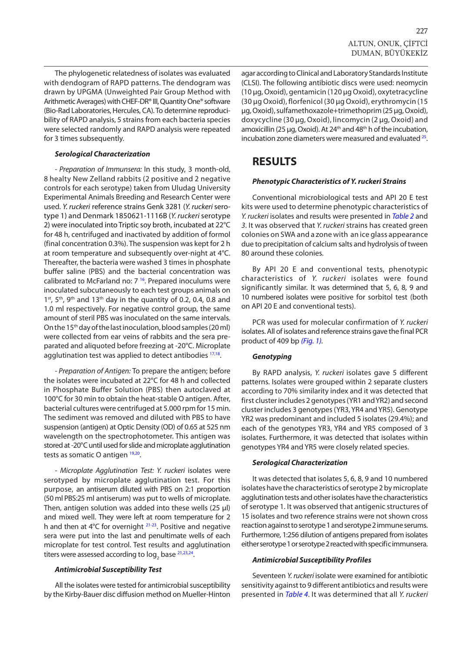The phylogenetic relatedness of isolates was evaluated with dendogram of RAPD patterns. The dendogram was drawn by UPGMA (Unweighted Pair Group Method with Arithmetic Averages) with CHEF-DR® III, Quantity One® software (Bio-Rad Laboratories, Hercules, CA). To determine reproducibility of RAPD analysis, 5 strains from each bacteria species were selected randomly and RAPD analysis were repeated for 3 times subsequently.

#### *Serological Characterization*

*- Preparation of Immunsera:* In this study, 3 month-old, 8 healty New Zelland rabbits (2 positive and 2 negative controls for each serotype) taken from Uludag University Experimental Animals Breeding and Research Center were used. *Y. ruckeri* reference strains Genk 3281 (*Y. ruckeri* serotype 1) and Denmark 1850621-1116B (*Y. ruckeri* serotype 2) were inoculated into Triptic soy broth, incubated at 22°C for 48 h, centrifuged and inactivated by addition of formol (final concentration 0.3%). The suspension was kept for 2 h at room temperature and subsequently over-night at 4°C. Thereafter, the bacteria were washed 3 times in phosphate buffer saline (PBS) and the bacterial concentration was calibrated to McFarland no: 7 [16.](#page-6-0) Prepared inoculums were inoculated subcutaneously to each test groups animals on  $1<sup>st</sup>$ ,  $5<sup>th</sup>$ ,  $9<sup>th</sup>$  and  $13<sup>th</sup>$  day in the quantity of 0.2, 0.4, 0.8 and 1.0 ml respectively. For negative control group, the same amount of steril PBS was inoculated on the same intervals. On the 15<sup>th</sup> day of the last inoculation, blood samples (20 ml) were collected from ear veins of rabbits and the sera preparated and aliquoted before freezing at -20°C. Microplate agglutination test was applied to detect antibodies  $17,18$ .

*- Preparation of Antigen:* To prepare the antigen; before the isolates were incubated at 22°C for 48 h and collected in Phosphate Buffer Solution (PBS) then autoclaved at 100°C for 30 min to obtain the heat-stable O antigen. After, bacterial cultures were centrifuged at 5.000 rpm for 15 min. The sediment was removed and diluted with PBS to have suspension (antigen) at Optic Density (OD) of 0.65 at 525 nm wavelength on the spectrophotometer. This antigen was stored at -20°C until used for slide and microplate agglutination tests as somatic O antigen [19,20.](#page-7-0)

*- Microplate Agglutination Test: Y. ruckeri* isolates were serotyped by microplate agglutination test. For this purpose, an antiserum diluted with PBS on 2:1 proportion (50 ml PBS:25 ml antiserum) was put to wells of microplate. Then, antigen solution was added into these wells (25  $\mu$ l) and mixed well. They were left at room temperature for 2 h and then at 4°C for overnight [21-23](#page-7-0). Positive and negative sera were put into the last and penultimate wells of each microplate for test control. Test results and agglutination titers were assessed according to  $\log_2$  base  $^{21,23,24}.$ 

#### *Antimicrobial Susceptibility Test*

All the isolates were tested for antimicrobial susceptibility by the Kirby-Bauer disc diffusion method on Mueller-Hinton agar according to Clinical and Laboratory Standards Institute (CLSI). The following antibiotic discs were used: neomycin (10 µg, Oxoid), gentamicin (120 µg Oxoid), oxytetracycline (30 µg Oxoid), florfenicol (30 µg Oxoid), erythromycin (15 µg, Oxoid), sulfamethoxazole+trimethoprim (25 µg, Oxoid), doxycycline (30 µg, Oxoid), lincomycin (2 µg, Oxoid) and amoxicillin (25 µg, Oxoid). At  $24<sup>th</sup>$  and  $48<sup>th</sup>$  h of the incubation, incubation zone diameters were measured and evaluated [25.](#page-7-0)

### **RESULTS**

#### *Phenotypic Characteristics of Y. ruckeri Strains*

Conventional microbiological tests and API 20 E test kits were used to determine phenotypic characteristics of *Y. ruckeri* isolates and results were presented in *[Table 2](#page-3-0)* and *3*. It was observed that *Y. ruckeri* strains has created green colonies on SWA and a zone with an ice glass appearance due to precipitation of calcium salts and hydrolysis of tween 80 around these colonies.

By API 20 E and conventional tests, phenotypic characteristics of *Y. ruckeri* isolates were found significantly similar. It was determined that 5, 6, 8, 9 and 10 numbered isolates were positive for sorbitol test (both on API 20 E and conventional tests).

PCR was used for molecular confirmation of *Y. ruckeri* isolates. All of isolates and reference strains gave the final PCR product of 409 bp *([Fig. 1\).](#page-3-0)*

#### *Genotyping*

By RAPD analysis, *Y. ruckeri* isolates gave 5 different patterns. Isolates were grouped within 2 separate clusters according to 70% similarity index and it was detected that first cluster includes 2 genotypes (YR1 and YR2) and second cluster includes 3 genotypes (YR3, YR4 and YR5). Genotype YR2 was predominant and included 5 isolates (29.4%); and each of the genotypes YR3, YR4 and YR5 composed of 3 isolates. Furthermore, it was detected that isolates within genotypes YR4 and YR5 were closely related species.

#### *Serological Characterization*

It was detected that isolates 5, 6, 8, 9 and 10 numbered isolates have the characteristics of serotype 2 by microplate agglutination tests and other isolates have the characteristics of serotype 1. It was observed that antigenic structures of 15 isolates and two reference strains were not shown cross reaction against to serotype 1 and serotype 2 immune serums. Furthermore, 1:256 dilution of antigens prepared from isolates either serotype 1 or serotype 2 reacted with specific immunsera.

#### *Antimicrobial Susceptibility Profiles*

Seventeen *Y. ruckeri* isolate were examined for antibiotic sensitivity against to 9 different antibiotics and results were presented in *[Table 4](#page-5-0)*. It was determined that all *Y. ruckeri*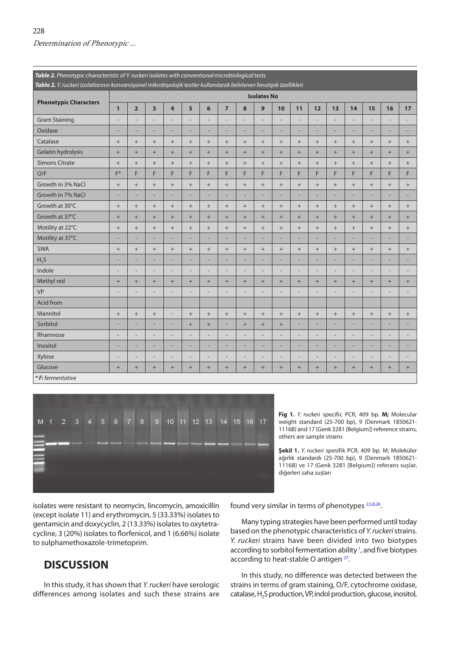<span id="page-3-0"></span>

| Table 2. Phenotypic characteristic of Y. ruckeri isolates with conventional microbiological tests<br>Tablo 2. Y. ruckeri izolatlarının konvansiyonel mikrobiyolojik testler kullanılarak belirlenen fenotipik özellikleri |                          |                          |                   |                |                |                                  |                   |                   |                    |                          |                          |                          |        |                   |                |        |        |
|---------------------------------------------------------------------------------------------------------------------------------------------------------------------------------------------------------------------------|--------------------------|--------------------------|-------------------|----------------|----------------|----------------------------------|-------------------|-------------------|--------------------|--------------------------|--------------------------|--------------------------|--------|-------------------|----------------|--------|--------|
|                                                                                                                                                                                                                           |                          |                          |                   |                |                |                                  |                   |                   | <b>Isolates No</b> |                          |                          |                          |        |                   |                |        |        |
| <b>Phenotypic Characters</b>                                                                                                                                                                                              |                          |                          |                   |                |                |                                  |                   |                   |                    |                          |                          |                          |        |                   |                |        |        |
|                                                                                                                                                                                                                           | $\mathbf{1}$             | $\overline{\mathbf{2}}$  | 3                 | 4              | 5              | 6                                | $\overline{7}$    | 8                 | $\mathbf{9}$       | 10                       | 11                       | 12                       | 13     | 14                | 15             | 16     | 17     |
| <b>Gram Staining</b>                                                                                                                                                                                                      | $\overline{\phantom{a}}$ | ٠                        |                   | ۰              |                | ÷                                |                   | ۰                 |                    |                          |                          |                          |        | ٠                 |                |        |        |
| Oxidase                                                                                                                                                                                                                   | $\overline{\phantom{a}}$ | ÷,                       | ÷                 | ۳              | ÷              | ÷,                               | ÷                 | ÷                 | ÷                  | ÷,                       | ٠                        | ÷,                       | ÷      | ÷,                | ÷              | ÷      | ÷,     |
| Catalase                                                                                                                                                                                                                  | $^{+}$                   | $\! +$                   | $+$               | $+$            | $+$            |                                  | $+$               | $+$               | $+$                |                          | $+$                      | $+$                      | $+$    | $^{+}$            | $+$            |        | $+$    |
| Gelatin hydrolysis                                                                                                                                                                                                        | $\ddot{}$                | $^{+}$                   | $+$               | $+$            | $+$            | $\begin{array}{c} + \end{array}$ | $+$               | $+$               | $+$                | $+$                      | $+$                      | $+$                      | $+$    | $+$               | $+$            | $+$    | $+$    |
| <b>Simons Citrate</b>                                                                                                                                                                                                     | $^{+}$                   | $^{+}$                   | $+$               | $+$            | $^{+}$         | $\qquad \qquad +$                | $+$               | $+$               | $+$                | $+$                      | $\! +$                   | $+$                      | $+$    | $\qquad \qquad +$ | $+$            |        | $+$    |
| O/F                                                                                                                                                                                                                       | $F^*$                    | F                        | F                 | F              | F              | F                                | F                 | F                 | F                  | F                        | F                        | F                        | F      | F                 | F              | F      | F      |
| Growth in 3% NaCl                                                                                                                                                                                                         | $^+$                     | $^{+}$                   | $\qquad \qquad +$ | $^{+}$         | $^{+}$         | $^{+}$                           | $\qquad \qquad +$ | $\qquad \qquad +$ | $\! +$             |                          | $\! +$                   | $+$                      | $^{+}$ | $^{+}$            | $+$            |        | $^{+}$ |
| Growth in 7% NaCl                                                                                                                                                                                                         | ٠                        | ÷                        | ÷                 | ۰              | ÷              | ۰                                | Ē.                | ÷                 | ÷                  | ٠                        | -                        | ÷                        | ۰      | ۰                 | ÷              | ÷      | ÷      |
| Growth at 30°C                                                                                                                                                                                                            | $^{+}$                   | $^{+}$                   | $+$               | $+$            | $+$            |                                  | $+$               | $+$               | $+$                | $+$                      | $+$                      | $+$                      | $+$    | $^{+}$            | $+$            | $+$    | $+$    |
| Growth at 37°C                                                                                                                                                                                                            | $\ddot{}$                | $+$                      | $+$               | $+$            | $+$            | $+$                              | $+$               | $+$               | $+$                | $+$                      | $+$                      | $+$                      | $+$    | $+$               | $+$            | $+$    | $+$    |
| Motility at 22°C                                                                                                                                                                                                          | $^{+}$                   | $^{+}$                   | $\qquad \qquad +$ | $^{+}$         | $^{+}$         | $\qquad \qquad +$                | $+$               | $\! +$            | $+$                | $+$                      | $\! +$                   | $+$                      | $+$    | $^{+}$            | $+$            |        | $^{+}$ |
| Motility at 37°C                                                                                                                                                                                                          | $\overline{\phantom{a}}$ | ÷,                       |                   | ÷,             | Ē,             | ÷,                               | Ē.                | ÷,                | ÷,                 | ÷,                       |                          | ÷                        |        | L,                | L.             |        |        |
| <b>SWA</b>                                                                                                                                                                                                                | $^{+}$                   | $\! +$                   | $\qquad \qquad +$ | $^{+}$         | $^{+}$         | $\! + \!$                        | $+$               |                   | $+$                | $+$                      | $\! +$                   | $^{+}$                   | $^{+}$ | $^+$              | $+$            | $^{+}$ | $^{+}$ |
| H <sub>2</sub> S                                                                                                                                                                                                          | ٠                        | $\overline{\phantom{a}}$ | ÷                 | ۰              | ÷              | ÷,                               | Ē.                | ÷                 | ÷,                 | ÷                        | ÷                        |                          | ۰      | ÷,                | ÷,             | ÷      | ÷      |
| Indole                                                                                                                                                                                                                    | $\overline{\phantom{a}}$ | $\overline{a}$           | $\overline{a}$    | ÷,             | ÷,             | ÷,                               | ÷,                | ÷,                | ÷,                 | $\overline{a}$           | $\overline{\phantom{a}}$ | $\overline{a}$           | ÷      | $\overline{a}$    | ÷,             | ÷      |        |
| Methyl red                                                                                                                                                                                                                | $^{+}$                   | $^{+}$                   | $^{+}$            | $^{+}$         | $+$            | $+$                              | $+$               | $+$               | $+$                | $+$                      | $+$                      | $+$                      | $+$    | $+$               | $+$            | $^{+}$ | $^{+}$ |
| <b>VP</b>                                                                                                                                                                                                                 | $\overline{\phantom{a}}$ | $\overline{a}$           |                   | $\overline{a}$ | $\overline{a}$ | ÷,                               | Ē,                | Ē.                | ×,                 | ÷,                       |                          |                          |        |                   |                |        |        |
| Acid from                                                                                                                                                                                                                 |                          |                          |                   |                |                |                                  |                   |                   |                    |                          |                          |                          |        |                   |                |        |        |
| Mannitol                                                                                                                                                                                                                  | $\! +$                   | $^{+}$                   | $\qquad \qquad +$ | ÷,             | $^{+}$         | $\qquad \qquad +$                | $\qquad \qquad +$ | $\! +$            | $+$                | $+$                      | $\! +$                   | $^{+}$                   | $+$    | $^{+}$            | $+$            |        | $^{+}$ |
| Sorbitol                                                                                                                                                                                                                  | н.                       | ÷,                       | ÷                 | ÷              | $^{+}$         | $^{+}$                           | Ē.                | $+$               | $+$                | $\boldsymbol{+}$         | ×,                       | ۰                        |        | ÷                 | Ē.             |        |        |
| Rhamnose                                                                                                                                                                                                                  | $\overline{\phantom{a}}$ | $\overline{\phantom{a}}$ | ÷                 | ÷              | ÷              | ÷,                               | Ē,                | ÷                 | ٠                  | $\overline{a}$           | ۰                        | $\overline{\phantom{a}}$ |        | ÷,                | $\overline{a}$ | ۰      |        |
| Inositol                                                                                                                                                                                                                  | ۰                        | ÷,                       | ÷                 | ۳              | ÷              | ÷,                               | ÷                 | ÷                 | ÷,                 | ÷,                       | ×,                       | $\overline{a}$           | ÷      | ÷,                | ÷              | ÷      | ۳      |
| Xylose                                                                                                                                                                                                                    |                          | -                        |                   | $\overline{a}$ | Ξ              | $\overline{a}$                   | ٠                 | $\overline{a}$    | $\overline{a}$     | $\overline{\phantom{a}}$ |                          | -                        |        | -                 | Ξ              |        |        |
| Glucose                                                                                                                                                                                                                   | $+$                      | $^{+}$                   | $+$               | $+$            | $^{+}$         | $\begin{array}{c} + \end{array}$ | $+$               | $+$               | $+$                | $+$                      | $^{+}$                   | $+$                      | $+$    | $+$               | $+$            | $^{+}$ | $^{+}$ |
| *F: fermentative                                                                                                                                                                                                          |                          |                          |                   |                |                |                                  |                   |                   |                    |                          |                          |                          |        |                   |                |        |        |



**Fig 1.** *Y. ruckeri* specific PCR, 409 bp. **M;** Molecular weight standard (25-700 bp), 9 (Denmark 1850621- 1116B) and 17 (Genk 3281 [Belgium]) reference strains, others are sample strains

**Şekil 1.** *Y. ruckeri* spesifik PCR, 409 bp. M; Moleküler ağırlık standardı (25-700 bp), 9 (Denmark 1850621- 1116B) ve 17 (Genk 3281 [Belgium]) referans suşlar, diğerleri saha suşları

isolates were resistant to neomycin, lincomycin, amoxicillin (except isolate 11) and erythromycin, 5 (33.33%) isolates to gentamicin and doxycyclin, 2 (13.33%) isolates to oxytetracycline, 3 (20%) isolates to florfenicol, and 1 (6.66%) isolate to sulphamethoxazole-trimetoprim.

## **DISCUSSION**

In this study, it has shown that *Y. ruckeri* have serologic differences among isolates and such these strains are found very similar in terms of phenotypes <sup>2,5,8,26</sup>.

Many typing strategies have been performed until today based on the phenotypic characteristics of *Y. ruckeri* strains. *Y. ruckeri* strains have been divided into two biotypes according to sorbitol fermentation ability <sup>1</sup>, and five biotypes according to heat-stable O antigen <sup>27</sup>.

In this study, no difference was detected between the strains in terms of gram staining, O/F, cytochrome oxidase, catalase, H<sub>2</sub>S production, VP, indol production, glucose, inositol,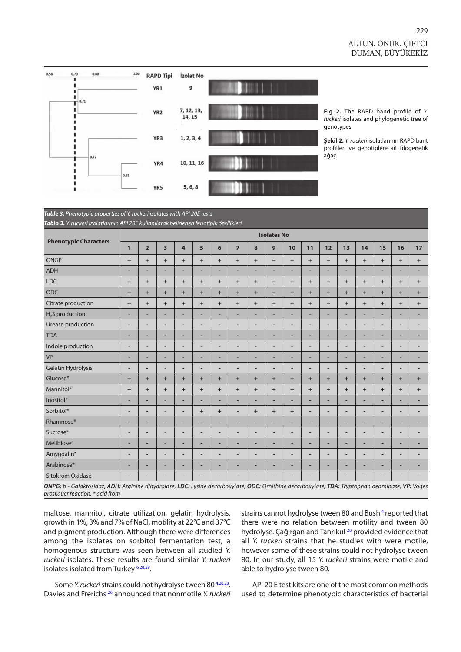

**Fig 2.** The RAPD band profile of *Y. ruckeri* isolates and phylogenetic tree of genotypes

**Şekil 2.** *Y. ruckeri* isolatlarının RAPD bant profilleri ve genotiplere ait filogenetik ağaç

*Table 3. Phenotypic properties of Y. ruckeri isolates with API 20E tests Tablo 3. Y. ruckeri izolatlarının API 20E kullanılarak belirlenen fenotipik özellikleri*

|                                                                                                                                                                                     |                          |                          |                         |                |                |                   |                |                          | <b>Isolates No</b> |                          |                          |                          |                          |                 |                          |                          |                          |
|-------------------------------------------------------------------------------------------------------------------------------------------------------------------------------------|--------------------------|--------------------------|-------------------------|----------------|----------------|-------------------|----------------|--------------------------|--------------------|--------------------------|--------------------------|--------------------------|--------------------------|-----------------|--------------------------|--------------------------|--------------------------|
| <b>Phenotypic Characters</b>                                                                                                                                                        | $\mathbf{1}$             | $\overline{2}$           | $\overline{\mathbf{3}}$ | 4              | 5              | 6                 | $\overline{7}$ | 8                        | $\overline{9}$     | 10                       | 11                       | 12                       | 13                       | 14              | 15                       | 16                       | 17                       |
| <b>ONGP</b>                                                                                                                                                                         | $^{+}$                   | $^{+}$                   | $+$                     | $^{+}$         |                | $\qquad \qquad +$ | $^{+}$         | $+$                      |                    | $^{+}$                   | $+$                      | $^{+}$                   | $+$                      | $\! + \!\!\!\!$ | $+$                      | $+$                      | $^{+}$                   |
| <b>ADH</b>                                                                                                                                                                          |                          | ÷                        |                         | ۰              |                | ÷                 |                | ۰                        | ×,                 | ÷                        |                          |                          |                          | ÷               |                          |                          | ×,                       |
| <b>LDC</b>                                                                                                                                                                          | $^{+}$                   | $^{+}$                   | $^{+}$                  | $^{+}$         | $^{+}$         | $\qquad \qquad +$ | $+$            | $+$                      |                    | $^{+}$                   | $+$                      | $+$                      | $^{+}$                   | $\! + \!\!\!\!$ | $+$                      | $+$                      | $^{+}$                   |
| <b>ODC</b>                                                                                                                                                                          | $^{+}$                   | $+$                      | $+$                     | $+$            | $+$            | $^{+}$            | $+$            | $+$                      | $+$                | $+$                      | $+$                      | $+$                      | $+$                      | $+$             | $+$                      | $+$                      | $+$                      |
| Citrate production                                                                                                                                                                  | $\qquad \qquad +$        | $+$                      | $+$                     | $+$            | $+$            | $\qquad \qquad +$ | $+$            | $+$                      | $+$                | $+$                      | $+$                      | $+$                      | $+$                      | $\! + \!\!\!\!$ | $+$                      | $+$                      | $+$                      |
| $H2S$ production                                                                                                                                                                    | -                        | ÷                        |                         | ÷              | -              | ÷,                |                | ۰                        | ٠                  | ÷,                       |                          |                          |                          | ÷,              |                          |                          |                          |
| Urease production                                                                                                                                                                   | ÷                        | $\overline{a}$           | ٠                       | $\overline{a}$ | $\overline{a}$ | ÷                 | ÷              | $\overline{a}$           | $\overline{a}$     | $\overline{a}$           | $\overline{a}$           | $\overline{a}$           |                          | $\overline{a}$  |                          | ۰                        |                          |
| <b>TDA</b>                                                                                                                                                                          | ۰                        | ۰                        |                         | ۳              | ÷              | ÷                 | ÷              | ۳                        | ۰                  | ÷                        | ÷                        | ÷                        |                          | ۰               | ۰                        | ×,                       | ×,                       |
| Indole production                                                                                                                                                                   | ÷                        | $\overline{a}$           | Ē,                      | L,             | L,             | ÷,                | ÷,             | $\overline{a}$           | $\overline{a}$     | $\overline{a}$           | ÷                        | $\overline{a}$           |                          | $\overline{a}$  |                          | $\overline{a}$           | $\overline{a}$           |
| <b>VP</b>                                                                                                                                                                           | ÷                        | ÷                        | ÷                       | ÷              | ÷              | ÷,                | ÷              | ÷                        | ÷                  | $\overline{a}$           | ÷                        | ÷                        | E,                       | ÷               | ÷                        | ×,                       | $\overline{\phantom{a}}$ |
| <b>Gelatin Hydrolysis</b>                                                                                                                                                           | ٠                        | ٠                        | ÷                       | ٠              | ٠              | ۰                 | ٠              | $\overline{a}$           | ٠                  | $\overline{\phantom{a}}$ | ٠                        | $\overline{\phantom{a}}$ | ٠                        | ٠               | $\overline{\phantom{a}}$ | ٠                        | ٠                        |
| Glucose*                                                                                                                                                                            | $\ddot{}$                | $\ddot{}$                | $+$                     | $+$            | $\ddot{}$      | $\ddot{}$         | $\ddot{}$      | $+$                      | $\ddot{}$          | $\ddot{}$                | $+$                      | $+$                      | $+$                      | $+$             | $+$                      | $+$                      | $\ddot{}$                |
| Mannitol*                                                                                                                                                                           | $\ddot{}$                | $\ddot{}$                | $+$                     | $+$            | $+$            | $+$               | $\ddot{}$      | $+$                      | $+$                | $+$                      | $+$                      | $+$                      | $+$                      | $+$             | $+$                      | $+$                      | $+$                      |
| Inositol*                                                                                                                                                                           | ٠                        | ÷                        | ÷                       | ٠              | ۰              | ۰                 | ٠              | ٠                        | ٠                  | ٠                        | ٠                        | ٠                        | ٠                        | ۰               | ٠                        | ٠                        | ٠                        |
| Sorbitol*                                                                                                                                                                           | ٠                        | ÷                        | ÷,                      | ÷              | $\ddot{}$      | $\ddot{}$         | ÷              | $+$                      | $\ddot{}$          | $\ddot{}$                | $\overline{\phantom{a}}$ | $\overline{\phantom{a}}$ | ٠                        | ٠               | $\overline{\phantom{a}}$ | ٠                        | ٠                        |
| Rhamnose*                                                                                                                                                                           | ٠                        | ٠                        | ÷                       | ÷              | ÷              | ÷                 | ÷,             | ÷,                       | -                  | ٠                        | ۰                        | $\overline{\phantom{a}}$ | -                        | ÷,              | -                        | ×,                       | $\overline{\phantom{a}}$ |
| Sucrose*                                                                                                                                                                            | ٠                        | $\overline{\phantom{a}}$ | ÷,                      | ٠              | ٠              | ٠                 | ٠              | ٠                        | ٠                  | $\overline{\phantom{a}}$ | ٠                        | $\overline{\phantom{a}}$ | $\overline{\phantom{a}}$ | ٠               | ٠                        | ٠                        | ٠                        |
| Melibiose*                                                                                                                                                                          | ٠                        | ٠                        | ÷                       | ٠              | ٠              | ٠                 | ٠              | ٠                        | ٠                  | ٠                        | ٠                        | ٠                        | ۰                        | ۰               | ٠                        | ٠                        | ٠                        |
| Amygdalin*                                                                                                                                                                          | $\overline{\phantom{a}}$ | $\overline{\phantom{a}}$ | $\overline{a}$          | ٠              | ٠              | ٠                 | ٠              | $\overline{\phantom{a}}$ | ٠                  | $\overline{\phantom{a}}$ | ٠                        | $\overline{\phantom{a}}$ | $\overline{\phantom{0}}$ | ٠               | ٠                        | ٠                        | ٠                        |
| Arabinose*                                                                                                                                                                          | ٠                        | ٠                        | ÷                       | ٠              | ٠              | ۰                 | ٠              | ٠                        | ۰                  | ٠                        | ٠                        | ٠                        | ٠                        | ٠               | ٠                        | ٠                        | ٠                        |
| <b>Sitokrom Oxidase</b>                                                                                                                                                             | ٠                        | $\overline{a}$           |                         | ٠              | -              | ٠                 | ٠              | $\overline{a}$           | ٠                  | $\overline{a}$           |                          | $\overline{a}$           | ٠                        | ٠               | $\overline{\phantom{0}}$ | $\overline{\phantom{a}}$ |                          |
| ONPG: b - Galaktosidaz, ADH: Arginine dihydrolase, LDC: Lysine decarboxylase, ODC: Ornithine decarboxylase, TDA: Tryptophan deaminase, VP: Voges<br>proskauer reaction, * acid from |                          |                          |                         |                |                |                   |                |                          |                    |                          |                          |                          |                          |                 |                          |                          |                          |

maltose, mannitol, citrate utilization, gelatin hydrolysis, growth in 1%, 3% and 7% of NaCl, motility at 22°C and 37°C and pigment production. Although there were differences among the isolates on sorbitol fermentation test, a homogenous structure was seen between all studied *Y. ruckeri* isolates. These results are found similar *Y. ruckeri*  isolates isolated from Turkey [6](#page-6-0)[,28,29.](#page-7-0) 

strains cannot hydrolyse tween 80 and Bush<sup>4</sup> reported that there were no relation between motility and tween 80 hydrolyse. Çağırgan and Tanrıkul [28](#page-7-0) provided evidence that all *Y. ruckeri* strains that he studies with were motile, however some of these strains could not hydrolyse tween 80. In our study, all 15 *Y. ruckeri* strains were motile and able to hydrolyse tween 80.

Some *Y. ruckeri* strains could not hydrolyse tween 80<sup>4,26,28</sup>. Davies and Frerichs [26](#page-7-0) announced that nonmotile *Y. ruckeri* 

API 20 E test kits are one of the most common methods used to determine phenotypic characteristics of bacterial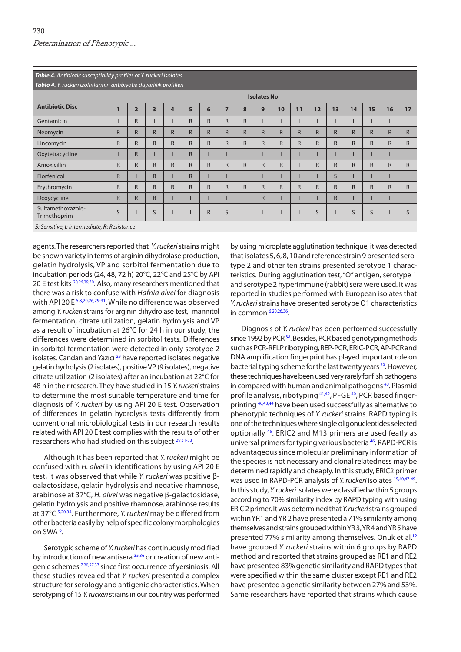<span id="page-5-0"></span>

|                                                                     | Table 4. Antibiotic susceptibility profiles of Y. ruckeri isolates |                |                |              |              |              |                |              |              |              |              |              |              |              |              |              |              |
|---------------------------------------------------------------------|--------------------------------------------------------------------|----------------|----------------|--------------|--------------|--------------|----------------|--------------|--------------|--------------|--------------|--------------|--------------|--------------|--------------|--------------|--------------|
| Tablo 4. Y. ruckeri izolatlarının antibiyotik duyarlılık profilleri |                                                                    |                |                |              |              |              |                |              |              |              |              |              |              |              |              |              |              |
|                                                                     | <b>Isolates No</b>                                                 |                |                |              |              |              |                |              |              |              |              |              |              |              |              |              |              |
| <b>Antibiotic Disc</b>                                              | 1                                                                  | $\overline{2}$ | 3              | 4            | 5            | 6            | $\overline{7}$ | 8            | 9            | 10           | 11           | 12           | 13           | 14           | 15           | 16           | 17           |
| Gentamicin                                                          |                                                                    | R              |                |              | R            | $\mathsf{R}$ | $\mathsf{R}$   | $\mathsf{R}$ |              |              |              |              |              |              |              |              |              |
| Neomycin                                                            | $\mathsf{R}$                                                       | R              | $\overline{R}$ | R            | $\mathsf{R}$ | $\mathsf{R}$ | $\mathsf{R}$   | $\mathsf{R}$ | R            | $\mathsf{R}$ | $\mathsf{R}$ | $\mathsf{R}$ | $\mathsf{R}$ | $\mathsf{R}$ | $\mathsf{R}$ | $\mathsf{R}$ | $\mathsf{R}$ |
| Lincomycin                                                          | $\mathsf{R}$                                                       | R              | $\overline{R}$ | $\mathsf{R}$ | $\mathsf{R}$ | $\mathsf{R}$ | $\mathsf{R}$   | $\mathsf{R}$ | R            | R            | $\mathsf{R}$ | R            | $\mathsf{R}$ | $\mathsf{R}$ | $\mathsf{R}$ | $\mathsf{R}$ | $\mathsf{R}$ |
| Oxytetracycline                                                     |                                                                    | R              |                |              | $\mathsf{R}$ |              |                |              |              |              |              |              |              |              |              |              |              |
| Amoxicillin                                                         | $\mathsf{R}$                                                       | R              | $\overline{R}$ | $\mathsf{R}$ | $\mathsf{R}$ | $\mathsf{R}$ | $\mathsf{R}$   | $\mathsf{R}$ | R            | R            |              | R            | $\mathsf{R}$ | $\mathsf{R}$ | $\mathsf{R}$ | $\mathsf{R}$ | $\mathsf{R}$ |
| Florfenicol                                                         | $\mathsf{R}$                                                       |                | R              |              | $\mathsf{R}$ |              |                |              |              |              |              |              | $\mathsf{S}$ |              |              |              |              |
| Erythromycin                                                        | $\mathsf{R}$                                                       | $\mathsf{R}$   | R              | $\mathsf{R}$ | $\mathsf{R}$ | $\mathsf{R}$ | $\mathsf{R}$   | $\mathsf{R}$ | $\mathsf{R}$ | R            | $\mathsf{R}$ | R            | $\mathsf{R}$ | $\mathsf{R}$ | R.           | $\mathsf{R}$ | $\mathsf{R}$ |
| Doxycycline                                                         | $\mathsf{R}$                                                       | R              | R              |              |              |              |                |              | $\mathsf{R}$ |              |              |              | $\mathsf{R}$ |              |              |              |              |
| Sulfamethoxazole-<br>Trimethoprim                                   | S                                                                  |                | S              |              |              | $\mathsf{R}$ | S              |              |              |              |              | S            |              | S            | S            |              | S            |
| S: Sensitive, I: Intermediate, R: Resistance                        |                                                                    |                |                |              |              |              |                |              |              |              |              |              |              |              |              |              |              |

agents. The researchers reported that *Y. ruckeri* strains might be shown variety in terms of arginin dihydrolase production, gelatin hydrolysis, VP and sorbitol fermentation due to incubation periods (24, 48, 72 h) 20°C, 22°C and 25°C by API 20 E test kits <sup>20,26,29,30</sup>. Also, many researchers mentioned that there was a risk to confuse with *Hafnia alvei* for diagnosis with API [20](#page-7-0) E <sup>5,8,20,[26,29-31](#page-7-0)</sup>. While no difference was observed among *Y. ruckeri* strains for arginin dihydrolase test, mannitol fermentation, citrate utilization, gelatin hydrolysis and VP as a result of incubation at 26°C for 24 h in our study, the differences were determined in sorbitol tests. Differences in sorbitol fermentation were detected in only serotype 2 isolates. Candan and Yazıcı<sup>29</sup> have reported isolates negative gelatin hydrolysis (2 isolates), positive VP (9 isolates), negative citrate utilization (2 isolates) after an incubation at 22°C for 48 h in their research. They have studied in 15 *Y. ruckeri* strains to determine the most suitable temperature and time for diagnosis of *Y. ruckeri* by using API 20 E test. Observation of differences in gelatin hydrolysis tests differently from conventional microbiological tests in our research results related with API 20 E test complies with the results of other researchers who had studied on this subject <sup>29,31-33</sup>.

Although it has been reported that *Y. ruckeri* might be confused with *H. alvei* in identifications by using API 20 E test, it was observed that while *Y. ruckeri* was positive βgalactosidase, gelatin hydrolysis and negative rhamnose, arabinose at 37°C, *H. alvei* was negative β-galactosidase, gelatin hydrolysis and positive rhamnose, arabinose results at 37°C [5](#page-6-0),[20](#page-6-0)[,34](#page-7-0). Furthermore, *Y. ruckeri* may be differed from other bacteria easily by help of specific colony morphologies on SWA [6](#page-6-0).

Serotypic scheme of *Y. ruckeri* has continuously modified by introduction of new antisera [35,36](#page-7-0) or creation of new antigenic schemes [7](#page-6-0),[20](#page-6-0)[,27,37](#page-7-0) since first occurrence of yersiniosis. All these studies revealed that *Y. ruckeri* presented a complex structure for serology and antigenic characteristics. When serotyping of 15 *Y. ruckeri* strains in our country was performed by using microplate agglutination technique, it was detected that isolates 5, 6, 8, 10 and reference strain 9 presented serotype 2 and other ten strains presented serotype 1 characteristics. During agglutination test, "O" antigen, serotype 1 and serotype 2 hyperimmune (rabbit) sera were used. It was reported in studies performed with European isolates that *Y. ruckeri* strains have presented serotype O1 characteristics in commo[n 6](#page-6-0),[20,](#page-6-0)[26,36.](#page-7-0)

Diagnosis of *Y. ruckeri* has been performed successfully since 1992 by PCR<sup>38</sup>. Besides, PCR based genotyping methods such as PCR-RFLP ribotyping, REP-PCR, ERIC-PCR, AP-PCR and DNA amplification fingerprint has played important role on bacterial typing scheme for the last twenty years <sup>39</sup>. However, these techniques have been used very rarely for fish pathogens in compared with human and animal pathogens<sup>40</sup>. Plasmid profile analysis, ribotyping <sup>41,42</sup>, PFGE <sup>40</sup>, PCR based fingerprinting <sup>40,43,44</sup> have been used successfully as alternative to phenotypic techniques of *Y. ruckeri* strains. RAPD typing is one of the techniques where single oligonucleotides selected optionally [45.](#page-7-0) ERIC2 and M13 primers are used featly as universal primers for typing various bacteria [46.](#page-7-0) RAPD-PCR is advantageous since molecular preliminary information of the species is not necessary and clonal relatedness may be determined rapidly and cheaply. In this study, ERIC2 primer was used in RAPD-PCR analysis of *Y. ruckeri* isolates [15](#page-6-0),[40,47-49.](#page-7-0) In this study, *Y. ruckeri* isolates were classified within 5 groups according to 70% similarity index by RAPD typing with using ERIC 2 primer. It was determined that *Y. ruckeri* strains grouped within YR1 and YR 2 have presented a 71% similarity among themselves and strains grouped within YR 3, YR 4 and YR 5 have presented 77% similarity among themselves. Onuk et al.<sup>[12](#page-6-0)</sup> have grouped *Y. ruckeri* strains within 6 groups by RAPD method and reported that strains grouped as RE1 and RE2 have presented 83% genetic similarity and RAPD types that were specified within the same cluster except RE1 and RE2 have presented a genetic similarity between 27% and 53%. Same researchers have reported that strains which cause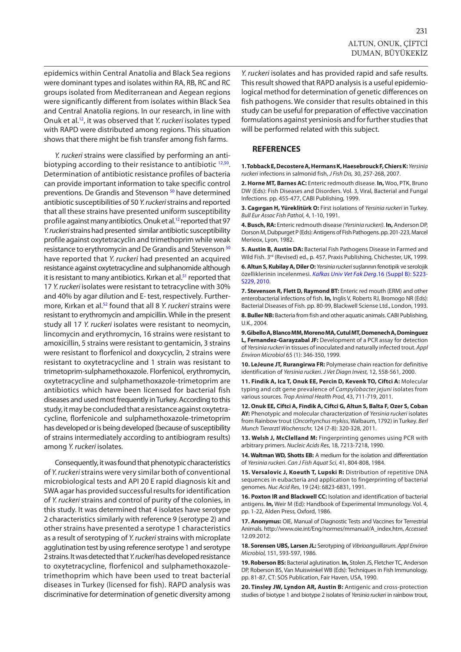<span id="page-6-0"></span>epidemics within Central Anatolia and Black Sea regions were dominant types and isolates within RA, RB, RC and RC groups isolated from Mediterranean and Aegean regions were significantly different from isolates within Black Sea and Central Anatolia regions. In our research, in line with Onuk et al.12, it was observed that *Y. ruckeri* isolates typed with RAPD were distributed among regions. This situation shows that there might be fish transfer among fish farms.

*Y. ruckeri* strains were classified by performing an antibiotyping according to their resistance to antibiotic 12,50. Determination of antibiotic resistance profiles of bacteria can provide important information to take specific control preventions. De Grandis and Stevenson<sup>50</sup> have determined antibiotic susceptibilities of 50 *Y. ruckeri* strains and reported that all these strains have presented uniform susceptibility profile against many antibiotics. Onuk et al.12 reported that 97 *Y. ruckeri* strains had presented similar antibiotic susceptibility profile against oxytetracyclin and trimethoprim while weak resistance to erythromycin and De Grandis and Stevenson [50](#page-7-0) have reported that *Y. ruckeri* had presented an acquired resistance against oxytetracycline and sulphanomide although it is resistant to many antibiotics. Kırkan et al.<sup>[51](#page-7-0)</sup> reported that 17 *Y. ruckeri* isolates were resistant to tetracycline with 30% and 40% by agar dilution and E- test, respectively. Furthermore, Kırkan et al.[52](#page-7-0) found that all 8 *Y. ruckeri* strains were resistant to erythromycin and ampicillin. While in the present study all 17 *Y. ruckeri* isolates were resistant to neomycin, lincomycin and erythromycin, 16 strains were resistant to amoxicillin, 5 strains were resistant to gentamicin, 3 strains were resistant to florfenicol and doxycyclin, 2 strains were resistant to oxytetracycline and 1 strain was resistant to trimetoprim-sulphamethoxazole. Florfenicol, erythromycin, oxytetracycline and sulphamethoxazole-trimetoprim are antibiotics which have been licensed for bacterial fish diseases and used most frequently in Turkey. According to this study, it may be concluded that a resistance against oxytetracycline, florfenicole and sulphamethoxazole-trimetoprim has developed or is being developed (because of susceptibility of strains intermediately according to antibiogram results) among *Y. ruckeri* isolates.

Consequently, it was found that phenotypic characteristics of *Y. ruckeri* strains were very similar both of conventional microbiological tests and API 20 E rapid diagnosis kit and SWA agar has provided successful results for identification of *Y. ruckeri* strains and control of purity of the colonies, in this study. It was determined that 4 isolates have serotype 2 characteristics similarly with reference 9 (serotype 2) and other strains have presented a serotype 1 characteristics as a result of serotyping of *Y. ruckeri* strains with microplate agglutination test by using reference serotype 1 and serotype 2 strains. It was detected that *Y. ruckeri* has developed resistance to oxytetracycline, florfenicol and sulphamethoxazoletrimethoprim which have been used to treat bacterial diseases in Turkey (licensed for fish). RAPD analysis was discriminative for determination of genetic diversity among

*Y. ruckeri* isolates and has provided rapid and safe results. This result showed that RAPD analysis is a useful epidemiological method for determination of genetic differences on fish pathogens. We consider that results obtained in this study can be useful for preparation of effective vaccination formulations against yersiniosis and for further studies that will be performed related with this subject.

#### **REFERENCES**

**1. Tobback E, Decostere A, Hermans K, Haesebrouck F, Chiers K:***Yersinia ruckeri* infections in salmonid fish, *J Fish Dis,* 30, 257-268, 2007.

**2. Horne MT, Barnes AC:** Enteric redmouth disease. **In,** Woo, PTK, Bruno DW (Eds): Fish Diseases and Disorders. Vol. 3, Viral, Bacterial and Fungal Infections. pp. 455-477, CABI Publishing, 1999.

**3. Cagırgan H, Yüreklitürk O:** First isolations of *Yersinia ruckeri* in Turkey. *Bull Eur Assoc Fish Pathol*, 4, 1-10, 1991.

**4. Busch, RA:** Enteric redmouth disease *(Yersinia ruckeri).* **In,** Anderson DP, Dorson M, Dubpurget P (Eds): Antigens of Fish Pathogens. pp. 201-223, Marcel Merieox, Lyon, 1982.

**5. Austin B, Austin DA:** Bacterial Fish Pathogens Disease in Farmed and Wild Fish. 3<sup>rd</sup> (Revised) ed., p. 457, Praxis Publishing, Chichester, UK, 1999.

**6. Altun S, Kubilay A, Diler O:** *Yersinia ruckeri* [suşlarının fenotipik ve serolojik](http://vetdergi.kafkas.edu.tr/extdocs/2010_4B/S223_S229.pdf) özelliklerinin incelenmesi. *Kafkas Univ Vet Fak Derg*.16 (Suppl B): S223- S229, 2010.

**7. Stevenson R, Flett D, Raymond BT:** Enteric red mouth (ERM) and other enterobacterial infections of fish. **In,** Inglis V, Roberts RJ, Bromogo NR (Eds): Bacterial Diseases of Fish. pp. 80-99, Blackwell Sciense Ltd., London, 1993.

**8. Buller NB:** Bacteria from fish and other aquatic animals. CABI Publishing, U.K., 2004.

**9. Gibello A, Blanco MM, Moreno MA, Cutul MT, Domenech A, Dominguez L, Fernandez-Garayzabal JF:** Development of a PCR assay for detection of *Yersinia ruckeri* in tissues of inoculated and naturally infected trout. *Appl Environ Microbiol* 65 (1): 346-350, 1999.

**10. LeJeune JT, Rurangirwa FR:** Polymerase chain reaction for definitive identification of *Yersinia ruckeri*. *J Vet Diagn Invest,* 12, 558-561, 2000.

**11. Findik A, Ica T, Onuk EE, Percin D, Kevenk TO, Ciftci A:** Molecular typing and cdt gene prevalence of *Campylobacter jejuni* isolates from various sources. *Trop Animal Health Prod*, 43, 711-719, 2011.

**12. Onuk EE, Ciftci A, Findik A, Ciftci G, Altun S, Balta F, Ozer S, Coban AY:** Phenotypic and molecular characterization of *Yersinia ruckeri* isolates from Rainbow trout (*Oncorhynchus mykiss*, Walbaum, 1792) in Turkey. *Berl Munch Tierarztl Wochenschr,* 124 (7-8): 320-328, 2011.

**13. Welsh J, McClelland M:** Fingerprinting genomes using PCR with arbitrary primers. *Nucleic Acids Res*, 18, 7213-7218, 1990.

**14. Waltman WD, Shotts EB:** A medium for the isolation and differentiation of *Yersinia ruckeri*. *Can J Fish Aquat Sci*, 41, 804-808, 1984.

**15. Versalovic J, Koeuth T, Lupski R:** Distribution of repetitive DNA sequences in eubacteria and application to fingerprinting of bacterial genomes. *Nuc Acid Res*, 19 (24): 6823-6831, 1991.

**16. Poxton IR and Blackwell CC:** Isolation and identification of bacterial antigens. **In,** Weir M (Ed): Handbook of Experimental Immunology. Vol. 4, pp. 1-22, Alden Press, Oxford, 1986.

**17. Anonymus:** OIE, Manual of Diagnostic Tests and Vaccines for Terrestrial Animals. http://www.oie.int/Eng/normes/mmanual/A\_index.htm, *Accessed*: 12.09.2012.

**18. Sorensen UBS, Larsen JL:** Serotyping of *Vibrioanguillarum. Appl Environ Microbiol,* 151, 593-597, 1986.

**19. Roberson BS:** Bacterial aglutination. **In,** Stolen JS, Fletcher TC, Anderson DP, Roberson BS, Van Muiswinkel WB (Eds): Techniques in Fish Immunology. pp. 81-87, CT: SOS Publication, Fair Haven, USA, 1990.

**20. Tinsley JW, Lyndon AR, Austin B:** Antigenic and cross-protection studies of biotype 1 and biotype 2 isolates of *Yersinia ruckeri* in rainbow trout,